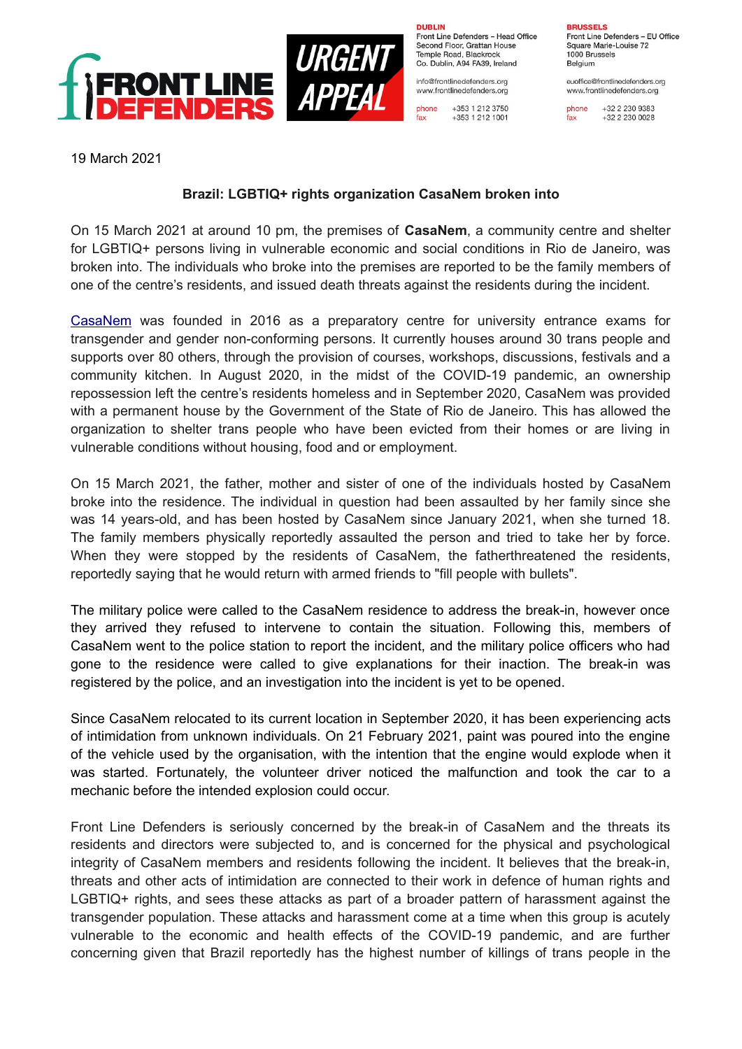

**DURLIN** Front Line Defenders - Head Office Second Floor, Grattan House Temple Boad, Blackrock Co. Dublin, A94 FA39, Ireland

info@frontlinedefenders.org www.frontlinedefenders.org

phone +353 1 212 3750 fax +353 1 212 1001 **BDUCCELC** Front Line Defenders - EU Office Square Marie-Louise 72 1000 Brussels

Belgium euoffice@frontlinedefenders.org

www.frontlinedefenders.org

phone +32 2 230 9383 fax +32 2 230 0028

19 March 2021

## **Brazil: LGBTIQ+ rights organization CasaNem broken into**

On 15 March 2021 at around 10 pm, the premises of **CasaNem**, a community centre and shelter for LGBTIQ+ persons living in vulnerable economic and social conditions in Rio de Janeiro, was broken into. The individuals who broke into the premises are reported to be the family members of one of the centre's residents, and issued death threats against the residents during the incident.

[CasaNem](https://www.frontlinedefenders.org/en/organization/casanem) was founded in 2016 as a preparatory centre for university entrance exams for transgender and gender non-conforming persons. It currently houses around 30 trans people and supports over 80 others, through the provision of courses, workshops, discussions, festivals and a community kitchen. In August 2020, in the midst of the COVID-19 pandemic, an ownership repossession left the centre's residents homeless and in September 2020, CasaNem was provided with a permanent house by the Government of the State of Rio de Janeiro. This has allowed the organization to shelter trans people who have been evicted from their homes or are living in vulnerable conditions without housing, food and or employment.

On 15 March 2021, the father, mother and sister of one of the individuals hosted by CasaNem broke into the residence. The individual in question had been assaulted by her family since she was 14 years-old, and has been hosted by CasaNem since January 2021, when she turned 18. The family members physically reportedly assaulted the person and tried to take her by force. When they were stopped by the residents of CasaNem, the fatherthreatened the residents, reportedly saying that he would return with armed friends to "fill people with bullets".

The military police were called to the CasaNem residence to address the break-in, however once they arrived they refused to intervene to contain the situation. Following this, members of CasaNem went to the police station to report the incident, and the military police officers who had gone to the residence were called to give explanations for their inaction. The break-in was registered by the police, and an investigation into the incident is yet to be opened.

Since CasaNem relocated to its current location in September 2020, it has been experiencing acts of intimidation from unknown individuals. On 21 February 2021, paint was poured into the engine of the vehicle used by the organisation, with the intention that the engine would explode when it was started. Fortunately, the volunteer driver noticed the malfunction and took the car to a mechanic before the intended explosion could occur.

Front Line Defenders is seriously concerned by the break-in of CasaNem and the threats its residents and directors were subjected to, and is concerned for the physical and psychological integrity of CasaNem members and residents following the incident. It believes that the break-in, threats and other acts of intimidation are connected to their work in defence of human rights and LGBTIQ+ rights, and sees these attacks as part of a broader pattern of harassment against the transgender population. These attacks and harassment come at a time when this group is acutely vulnerable to the economic and health effects of the COVID-19 pandemic, and are further concerning given that Brazil reportedly has the highest number of killings of trans people in the